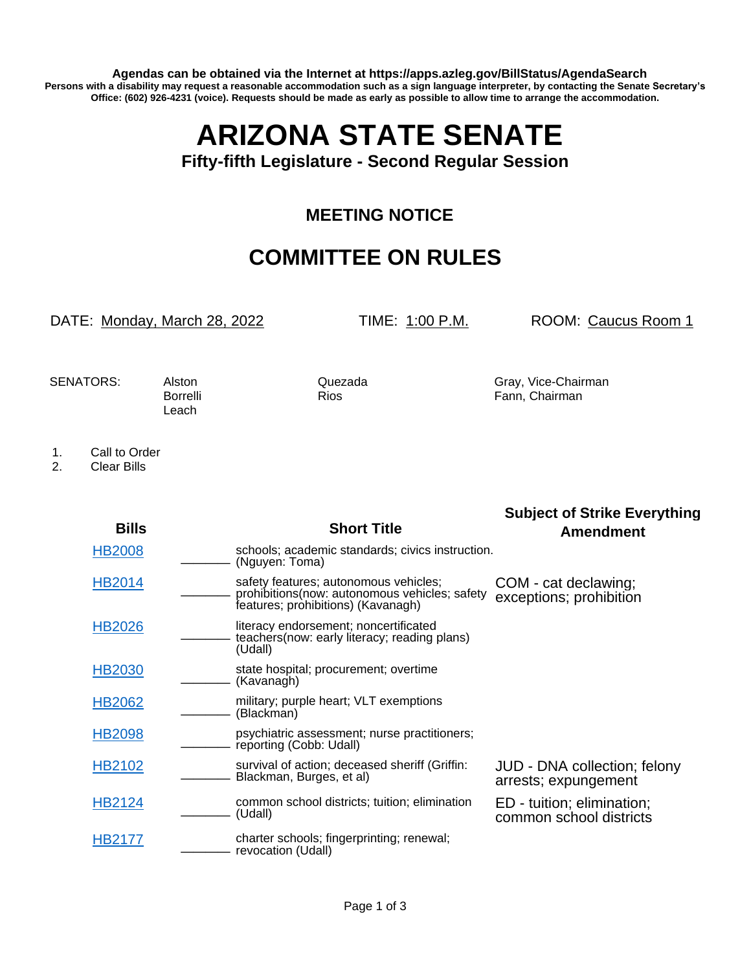**Agendas can be obtained via the Internet at https://apps.azleg.gov/BillStatus/AgendaSearch Persons with a disability may request a reasonable accommodation such as a sign language interpreter, by contacting the Senate Secretary's Office: (602) 926-4231 (voice). Requests should be made as early as possible to allow time to arrange the accommodation.**

## **ARIZONA STATE SENATE**

**Fifty-fifth Legislature - Second Regular Session**

## **MEETING NOTICE**

## **COMMITTEE ON RULES**

DATE: Monday, March 28, 2022 TIME: 1:00 P.M. ROOM: Caucus Room 1

Leach

SENATORS: Alston Quezada Gray, Vice-Chairman Borrelli Rios Rios Fann, Chairman

- 1. Call to Order<br>2. Clear Bills
- 2. Clear Bills

|               |                                                                                                                               | <b>Subject of Strike Everything</b>                   |
|---------------|-------------------------------------------------------------------------------------------------------------------------------|-------------------------------------------------------|
| <b>Bills</b>  | <b>Short Title</b>                                                                                                            | <b>Amendment</b>                                      |
| <b>HB2008</b> | schools; academic standards; civics instruction.<br>(Nguyen: Toma)                                                            |                                                       |
| HB2014        | safety features; autonomous vehicles;<br>prohibitions (now: autonomous vehicles; safety<br>features; prohibitions) (Kavanagh) | COM - cat declawing;<br>exceptions; prohibition       |
| <b>HB2026</b> | literacy endorsement; noncertificated<br>teachers (now: early literacy; reading plans)<br>(Udall)                             |                                                       |
| <b>HB2030</b> | state hospital; procurement; overtime<br>(Kavanagh)                                                                           |                                                       |
| HB2062        | military; purple heart; VLT exemptions<br>(Blackman)                                                                          |                                                       |
| <b>HB2098</b> | psychiatric assessment; nurse practitioners;<br>reporting (Cobb: Udall)                                                       |                                                       |
| HB2102        | survival of action; deceased sheriff (Griffin:<br>Blackman, Burges, et al)                                                    | JUD - DNA collection; felony<br>arrests; expungement  |
| HB2124        | common school districts; tuition; elimination<br>(Udall)                                                                      | ED - tuition; elimination;<br>common school districts |
| HB2177        | charter schools; fingerprinting; renewal;<br>revocation (Udall)                                                               |                                                       |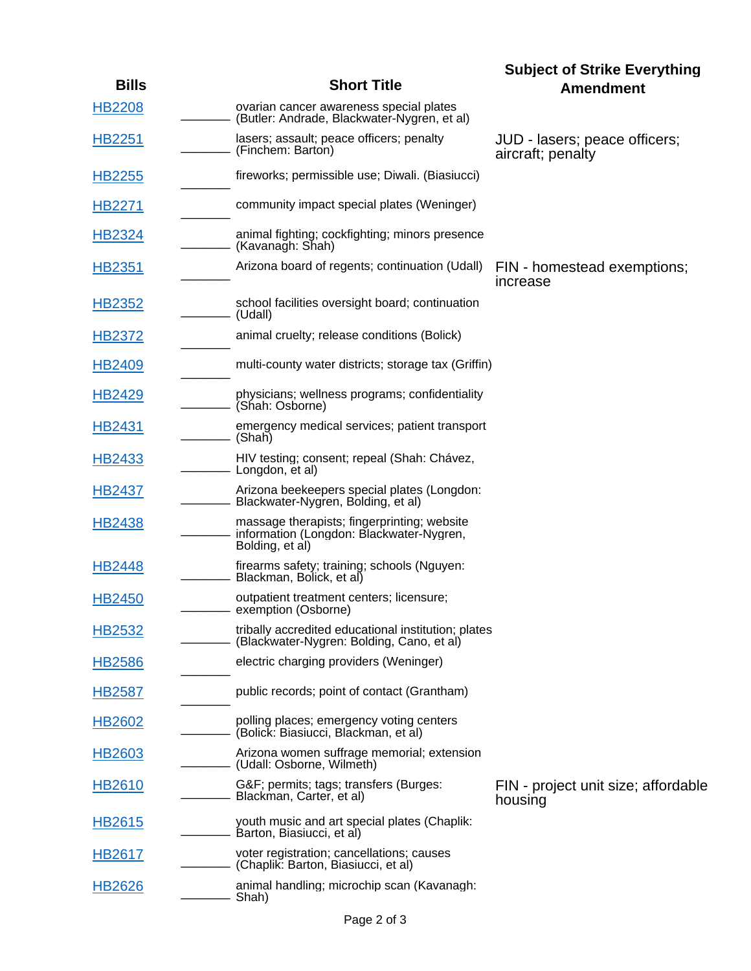| <b>Bills</b>       | <b>Short Title</b>                                                                                         | <b>Subject of Strike Everything</b><br><b>Amendment</b> |
|--------------------|------------------------------------------------------------------------------------------------------------|---------------------------------------------------------|
| <b>HB2208</b>      | ovarian cancer awareness special plates<br>(Butler: Andrade, Blackwater-Nygren, et al)                     |                                                         |
| <b>HB2251</b>      | lasers; assault; peace officers; penalty<br>(Finchem: Barton)                                              | JUD - lasers; peace officers;<br>aircraft; penalty      |
| <b>HB2255</b>      | fireworks; permissible use; Diwali. (Biasiucci)                                                            |                                                         |
| <b>HB2271</b>      | community impact special plates (Weninger)                                                                 |                                                         |
| HB2324             | animal fighting; cockfighting; minors presence<br>(Kavanagh: Shah)                                         |                                                         |
| HB2351             | Arizona board of regents; continuation (Udall)                                                             | FIN - homestead exemptions;<br>increase                 |
| <b>HB2352</b>      | school facilities oversight board; continuation<br>(Udall)                                                 |                                                         |
| <b>HB2372</b>      | animal cruelty; release conditions (Bolick)                                                                |                                                         |
| HB2409             | multi-county water districts; storage tax (Griffin)                                                        |                                                         |
| <b>HB2429</b>      | physicians; wellness programs; confidentiality<br>(Shah: Osborne)                                          |                                                         |
| HB2431             | emergency medical services; patient transport<br>(Shah)                                                    |                                                         |
| <b>HB2433</b>      | HIV testing; consent; repeal (Shah: Chávez,<br>- Longdon, et al)                                           |                                                         |
| <b>HB2437</b>      | Arizona beekeepers special plates (Longdon:<br>Blackwater-Nygren, Bolding, et al)                          |                                                         |
| HB2438             | massage therapists; fingerprinting; website<br>information (Longdon: Blackwater-Nygren,<br>Bolding, et al) |                                                         |
| <b>HB2448</b>      | firearms safety; training; schools (Nguyen:<br>Blackman, Bolick, et al)                                    |                                                         |
| HB2450             | outpatient treatment centers; licensure;<br>- exemption (Osborne)                                          |                                                         |
| <b>HB2532</b>      | tribally accredited educational institution; plates<br>(Blackwater-Nygren: Bolding, Cano, et al)           |                                                         |
| <b>HB2586</b>      | electric charging providers (Weninger)                                                                     |                                                         |
| <b>HB2587</b>      | public records; point of contact (Grantham)                                                                |                                                         |
| HB <sub>2602</sub> | polling places; emergency voting centers<br>(Bolick: Biasiucci, Blackman, et al)                           |                                                         |
| HB2603             | Arizona women suffrage memorial; extension<br>(Udall: Osborne, Wilmeth)                                    |                                                         |
| HB2610             | G&F permits; tags; transfers (Burges:<br>Blackman, Carter, et al)                                          | FIN - project unit size; affordable<br>housing          |
| <b>HB2615</b>      | youth music and art special plates (Chaplik:<br>Barton, Biasiucci, et al)                                  |                                                         |
| HB2617             | voter registration; cancellations; causes<br>(Chaplik: Barton, Biasiucci, et al)                           |                                                         |
| <b>HB2626</b>      | animal handling; microchip scan (Kavanagh:<br>Shah)                                                        |                                                         |